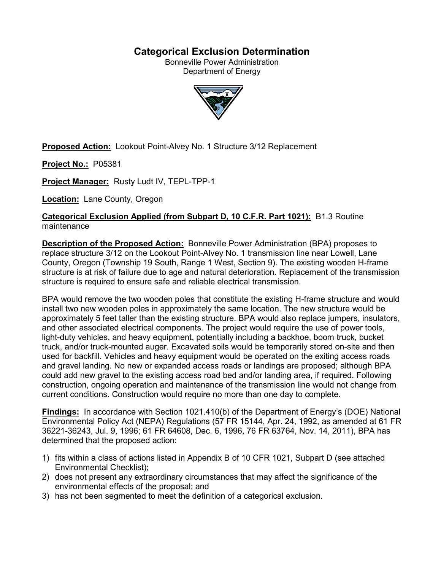# **Categorical Exclusion Determination**

Bonneville Power Administration Department of Energy



**Proposed Action:** Lookout Point-Alvey No. 1 Structure 3/12 Replacement

**Project No.:** P05381

**Project Manager:** Rusty Ludt IV, TEPL-TPP-1

**Location:** Lane County, Oregon

**Categorical Exclusion Applied (from Subpart D, 10 C.F.R. Part 1021):** B1.3 Routine maintenance

**Description of the Proposed Action:** Bonneville Power Administration (BPA) proposes to replace structure 3/12 on the Lookout Point-Alvey No. 1 transmission line near Lowell, Lane County, Oregon (Township 19 South, Range 1 West, Section 9). The existing wooden H-frame structure is at risk of failure due to age and natural deterioration. Replacement of the transmission structure is required to ensure safe and reliable electrical transmission.

BPA would remove the two wooden poles that constitute the existing H-frame structure and would install two new wooden poles in approximately the same location. The new structure would be approximately 5 feet taller than the existing structure. BPA would also replace jumpers, insulators, and other associated electrical components. The project would require the use of power tools, light-duty vehicles, and heavy equipment, potentially including a backhoe, boom truck, bucket truck, and/or truck-mounted auger. Excavated soils would be temporarily stored on-site and then used for backfill. Vehicles and heavy equipment would be operated on the exiting access roads and gravel landing. No new or expanded access roads or landings are proposed; although BPA could add new gravel to the existing access road bed and/or landing area, if required. Following construction, ongoing operation and maintenance of the transmission line would not change from current conditions. Construction would require no more than one day to complete.

**Findings:** In accordance with Section 1021.410(b) of the Department of Energy's (DOE) National Environmental Policy Act (NEPA) Regulations (57 FR 15144, Apr. 24, 1992, as amended at 61 FR 36221-36243, Jul. 9, 1996; 61 FR 64608, Dec. 6, 1996, 76 FR 63764, Nov. 14, 2011), BPA has determined that the proposed action:

- 1) fits within a class of actions listed in Appendix B of 10 CFR 1021, Subpart D (see attached Environmental Checklist);
- 2) does not present any extraordinary circumstances that may affect the significance of the environmental effects of the proposal; and
- 3) has not been segmented to meet the definition of a categorical exclusion.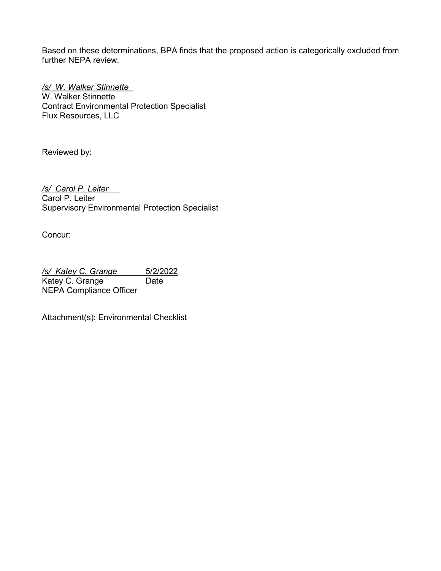Based on these determinations, BPA finds that the proposed action is categorically excluded from further NEPA review.

*/s/ W. Walker Stinnette* W. Walker Stinnette Contract Environmental Protection Specialist Flux Resources, LLC

Reviewed by:

*/s/ Carol P. Leiter* Carol P. Leiter Supervisory Environmental Protection Specialist

Concur:

*/s/ Katey C. Grange* 5/2/2022 Katey C. Grange Date NEPA Compliance Officer

Attachment(s): Environmental Checklist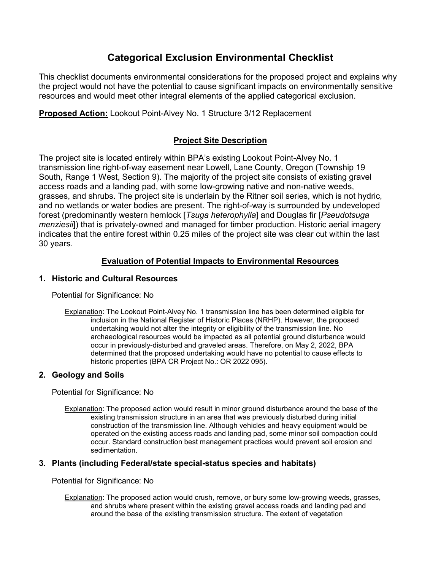# **Categorical Exclusion Environmental Checklist**

This checklist documents environmental considerations for the proposed project and explains why the project would not have the potential to cause significant impacts on environmentally sensitive resources and would meet other integral elements of the applied categorical exclusion.

**Proposed Action:** Lookout Point-Alvey No. 1 Structure 3/12 Replacement

# **Project Site Description**

The project site is located entirely within BPA's existing Lookout Point-Alvey No. 1 transmission line right-of-way easement near Lowell, Lane County, Oregon (Township 19 South, Range 1 West, Section 9). The majority of the project site consists of existing gravel access roads and a landing pad, with some low-growing native and non-native weeds, grasses, and shrubs. The project site is underlain by the Ritner soil series, which is not hydric, and no wetlands or water bodies are present. The right-of-way is surrounded by undeveloped forest (predominantly western hemlock [*Tsuga heterophylla*] and Douglas fir [*Pseudotsuga menziesii*]) that is privately-owned and managed for timber production. Historic aerial imagery indicates that the entire forest within 0.25 miles of the project site was clear cut within the last 30 years.

# **Evaluation of Potential Impacts to Environmental Resources**

# **1. Historic and Cultural Resources**

Potential for Significance: No

Explanation: The Lookout Point-Alvey No. 1 transmission line has been determined eligible for inclusion in the National Register of Historic Places (NRHP). However, the proposed undertaking would not alter the integrity or eligibility of the transmission line. No archaeological resources would be impacted as all potential ground disturbance would occur in previously-disturbed and graveled areas. Therefore, on May 2, 2022, BPA determined that the proposed undertaking would have no potential to cause effects to historic properties (BPA CR Project No.: OR 2022 095).

# **2. Geology and Soils**

Potential for Significance: No

Explanation: The proposed action would result in minor ground disturbance around the base of the existing transmission structure in an area that was previously disturbed during initial construction of the transmission line. Although vehicles and heavy equipment would be operated on the existing access roads and landing pad, some minor soil compaction could occur. Standard construction best management practices would prevent soil erosion and sedimentation.

### **3. Plants (including Federal/state special-status species and habitats)**

Potential for Significance: No

Explanation: The proposed action would crush, remove, or bury some low-growing weeds, grasses, and shrubs where present within the existing gravel access roads and landing pad and around the base of the existing transmission structure. The extent of vegetation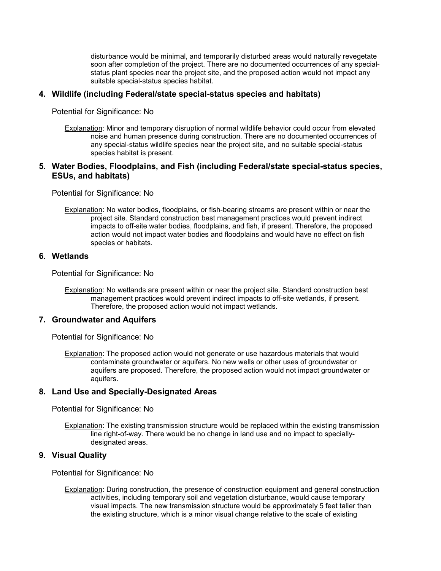disturbance would be minimal, and temporarily disturbed areas would naturally revegetate soon after completion of the project. There are no documented occurrences of any specialstatus plant species near the project site, and the proposed action would not impact any suitable special-status species habitat.

#### **4. Wildlife (including Federal/state special-status species and habitats)**

Potential for Significance: No

Explanation: Minor and temporary disruption of normal wildlife behavior could occur from elevated noise and human presence during construction. There are no documented occurrences of any special-status wildlife species near the project site, and no suitable special-status species habitat is present.

#### **5. Water Bodies, Floodplains, and Fish (including Federal/state special-status species, ESUs, and habitats)**

Potential for Significance: No

Explanation: No water bodies, floodplains, or fish-bearing streams are present within or near the project site. Standard construction best management practices would prevent indirect impacts to off-site water bodies, floodplains, and fish, if present. Therefore, the proposed action would not impact water bodies and floodplains and would have no effect on fish species or habitats.

#### **6. Wetlands**

Potential for Significance: No

Explanation: No wetlands are present within or near the project site. Standard construction best management practices would prevent indirect impacts to off-site wetlands, if present. Therefore, the proposed action would not impact wetlands.

#### **7. Groundwater and Aquifers**

Potential for Significance: No

Explanation: The proposed action would not generate or use hazardous materials that would contaminate groundwater or aquifers. No new wells or other uses of groundwater or aquifers are proposed. Therefore, the proposed action would not impact groundwater or aquifers.

#### **8. Land Use and Specially-Designated Areas**

Potential for Significance: No

Explanation: The existing transmission structure would be replaced within the existing transmission line right-of-way. There would be no change in land use and no impact to speciallydesignated areas.

#### **9. Visual Quality**

Potential for Significance: No

Explanation: During construction, the presence of construction equipment and general construction activities, including temporary soil and vegetation disturbance, would cause temporary visual impacts. The new transmission structure would be approximately 5 feet taller than the existing structure, which is a minor visual change relative to the scale of existing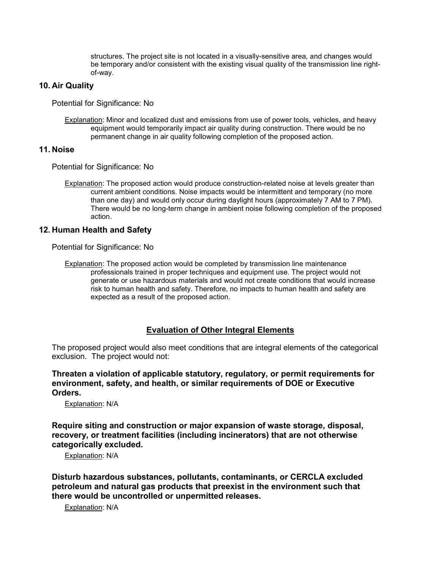structures. The project site is not located in a visually-sensitive area, and changes would be temporary and/or consistent with the existing visual quality of the transmission line rightof-way.

#### **10. Air Quality**

Potential for Significance: No

Explanation: Minor and localized dust and emissions from use of power tools, vehicles, and heavy equipment would temporarily impact air quality during construction. There would be no permanent change in air quality following completion of the proposed action.

#### **11. Noise**

Potential for Significance: No

Explanation: The proposed action would produce construction-related noise at levels greater than current ambient conditions. Noise impacts would be intermittent and temporary (no more than one day) and would only occur during daylight hours (approximately 7 AM to 7 PM). There would be no long-term change in ambient noise following completion of the proposed action.

#### **12. Human Health and Safety**

Potential for Significance: No

Explanation: The proposed action would be completed by transmission line maintenance professionals trained in proper techniques and equipment use. The project would not generate or use hazardous materials and would not create conditions that would increase risk to human health and safety. Therefore, no impacts to human health and safety are expected as a result of the proposed action.

### **Evaluation of Other Integral Elements**

The proposed project would also meet conditions that are integral elements of the categorical exclusion. The project would not:

**Threaten a violation of applicable statutory, regulatory, or permit requirements for environment, safety, and health, or similar requirements of DOE or Executive Orders.**

Explanation: N/A

**Require siting and construction or major expansion of waste storage, disposal, recovery, or treatment facilities (including incinerators) that are not otherwise categorically excluded.**

Explanation: N/A

**Disturb hazardous substances, pollutants, contaminants, or CERCLA excluded petroleum and natural gas products that preexist in the environment such that there would be uncontrolled or unpermitted releases.**

Explanation: N/A